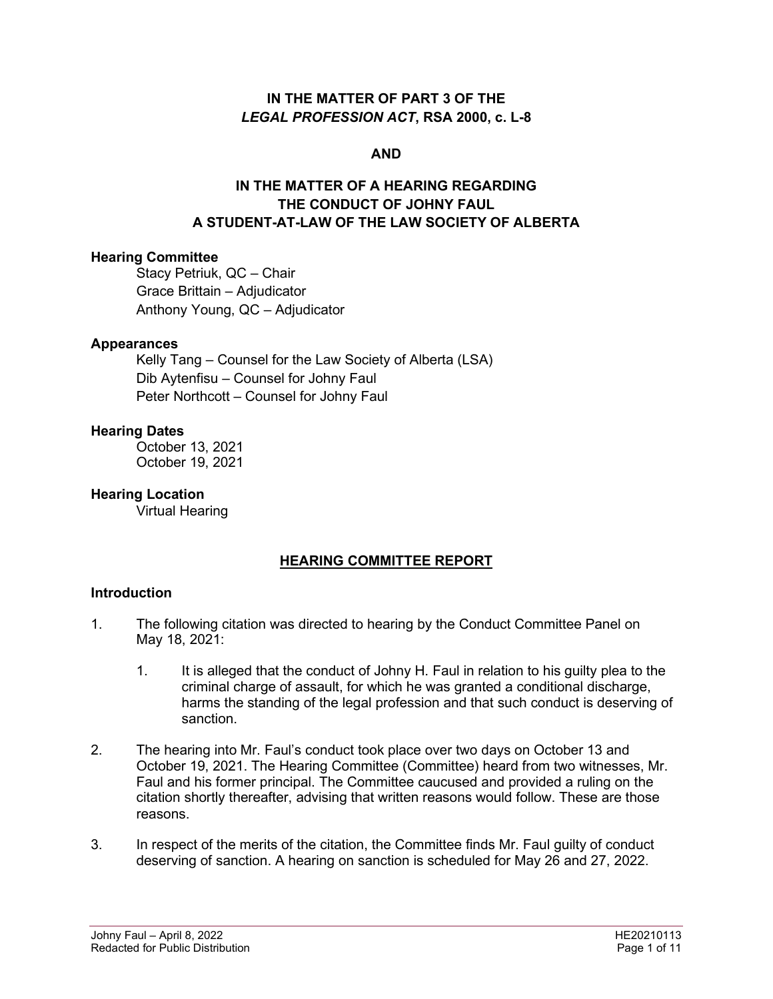## **IN THE MATTER OF PART 3 OF THE**  *LEGAL PROFESSION ACT***, RSA 2000, c. L-8**

### **AND**

# **IN THE MATTER OF A HEARING REGARDING THE CONDUCT OF JOHNY FAUL A STUDENT-AT-LAW OF THE LAW SOCIETY OF ALBERTA**

### **Hearing Committee**

Stacy Petriuk, QC – Chair Grace Brittain – Adjudicator Anthony Young, QC – Adjudicator

#### **Appearances**

Kelly Tang – Counsel for the Law Society of Alberta (LSA) Dib Aytenfisu – Counsel for Johny Faul Peter Northcott – Counsel for Johny Faul

#### **Hearing Dates**

October 13, 2021 October 19, 2021

**Hearing Location** 

Virtual Hearing

# **HEARING COMMITTEE REPORT**

### **Introduction**

- 1. The following citation was directed to hearing by the Conduct Committee Panel on May 18, 2021:
	- 1. It is alleged that the conduct of Johny H. Faul in relation to his guilty plea to the criminal charge of assault, for which he was granted a conditional discharge, harms the standing of the legal profession and that such conduct is deserving of sanction.
- 2. The hearing into Mr. Faul's conduct took place over two days on October 13 and October 19, 2021. The Hearing Committee (Committee) heard from two witnesses, Mr. Faul and his former principal. The Committee caucused and provided a ruling on the citation shortly thereafter, advising that written reasons would follow. These are those reasons.
- 3. In respect of the merits of the citation, the Committee finds Mr. Faul guilty of conduct deserving of sanction. A hearing on sanction is scheduled for May 26 and 27, 2022.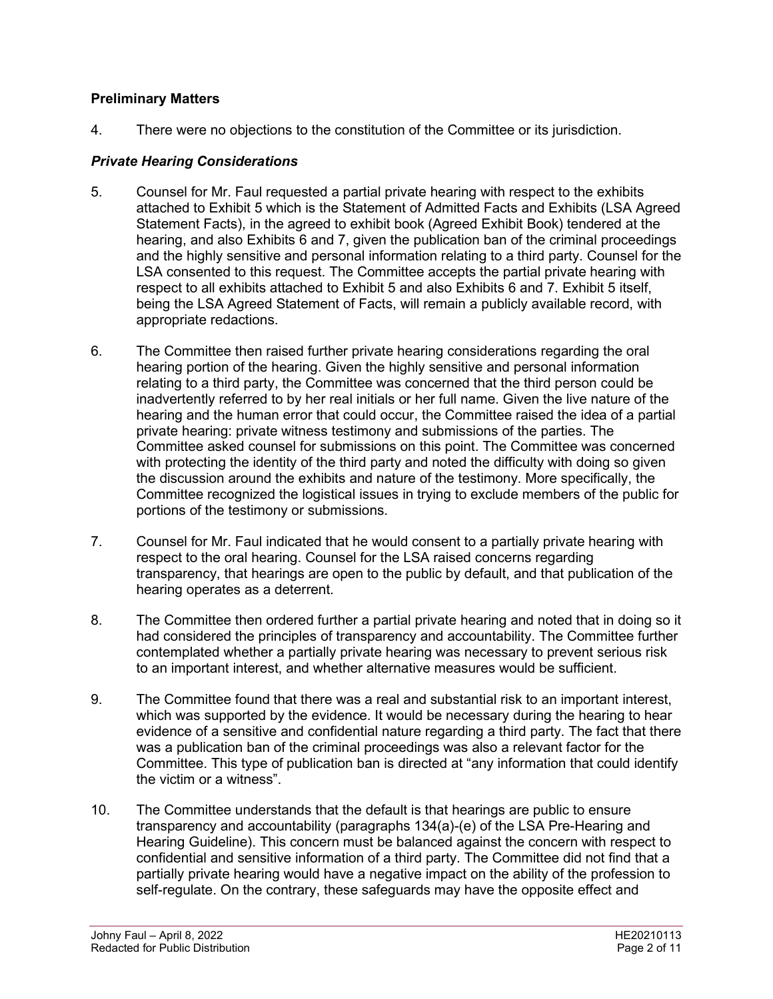# **Preliminary Matters**

4. There were no objections to the constitution of the Committee or its jurisdiction.

# *Private Hearing Considerations*

- 5. Counsel for Mr. Faul requested a partial private hearing with respect to the exhibits attached to Exhibit 5 which is the Statement of Admitted Facts and Exhibits (LSA Agreed Statement Facts), in the agreed to exhibit book (Agreed Exhibit Book) tendered at the hearing, and also Exhibits 6 and 7, given the publication ban of the criminal proceedings and the highly sensitive and personal information relating to a third party. Counsel for the LSA consented to this request. The Committee accepts the partial private hearing with respect to all exhibits attached to Exhibit 5 and also Exhibits 6 and 7. Exhibit 5 itself, being the LSA Agreed Statement of Facts, will remain a publicly available record, with appropriate redactions.
- 6. The Committee then raised further private hearing considerations regarding the oral hearing portion of the hearing. Given the highly sensitive and personal information relating to a third party, the Committee was concerned that the third person could be inadvertently referred to by her real initials or her full name. Given the live nature of the hearing and the human error that could occur, the Committee raised the idea of a partial private hearing: private witness testimony and submissions of the parties. The Committee asked counsel for submissions on this point. The Committee was concerned with protecting the identity of the third party and noted the difficulty with doing so given the discussion around the exhibits and nature of the testimony. More specifically, the Committee recognized the logistical issues in trying to exclude members of the public for portions of the testimony or submissions.
- 7. Counsel for Mr. Faul indicated that he would consent to a partially private hearing with respect to the oral hearing. Counsel for the LSA raised concerns regarding transparency, that hearings are open to the public by default, and that publication of the hearing operates as a deterrent.
- 8. The Committee then ordered further a partial private hearing and noted that in doing so it had considered the principles of transparency and accountability. The Committee further contemplated whether a partially private hearing was necessary to prevent serious risk to an important interest, and whether alternative measures would be sufficient.
- 9. The Committee found that there was a real and substantial risk to an important interest, which was supported by the evidence. It would be necessary during the hearing to hear evidence of a sensitive and confidential nature regarding a third party. The fact that there was a publication ban of the criminal proceedings was also a relevant factor for the Committee. This type of publication ban is directed at "any information that could identify the victim or a witness".
- 10. The Committee understands that the default is that hearings are public to ensure transparency and accountability (paragraphs 134(a)-(e) of the LSA Pre-Hearing and Hearing Guideline). This concern must be balanced against the concern with respect to confidential and sensitive information of a third party. The Committee did not find that a partially private hearing would have a negative impact on the ability of the profession to self-regulate. On the contrary, these safeguards may have the opposite effect and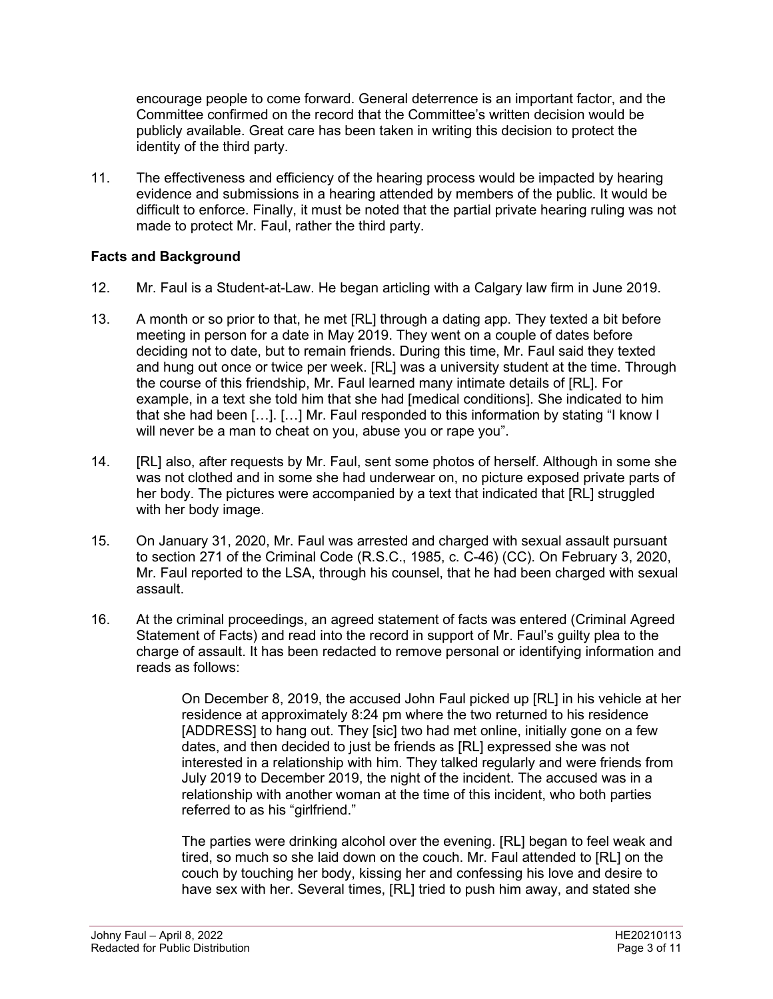encourage people to come forward. General deterrence is an important factor, and the Committee confirmed on the record that the Committee's written decision would be publicly available. Great care has been taken in writing this decision to protect the identity of the third party.

11. The effectiveness and efficiency of the hearing process would be impacted by hearing evidence and submissions in a hearing attended by members of the public. It would be difficult to enforce. Finally, it must be noted that the partial private hearing ruling was not made to protect Mr. Faul, rather the third party.

# **Facts and Background**

- 12. Mr. Faul is a Student-at-Law. He began articling with a Calgary law firm in June 2019.
- 13. A month or so prior to that, he met [RL] through a dating app. They texted a bit before meeting in person for a date in May 2019. They went on a couple of dates before deciding not to date, but to remain friends. During this time, Mr. Faul said they texted and hung out once or twice per week. [RL] was a university student at the time. Through the course of this friendship, Mr. Faul learned many intimate details of [RL]. For example, in a text she told him that she had [medical conditions]. She indicated to him that she had been […]. […] Mr. Faul responded to this information by stating "I know I will never be a man to cheat on you, abuse you or rape you".
- 14. [RL] also, after requests by Mr. Faul, sent some photos of herself. Although in some she was not clothed and in some she had underwear on, no picture exposed private parts of her body. The pictures were accompanied by a text that indicated that [RL] struggled with her body image.
- 15. On January 31, 2020, Mr. Faul was arrested and charged with sexual assault pursuant to section 271 of the Criminal Code (R.S.C., 1985, c. C-46) (CC). On February 3, 2020, Mr. Faul reported to the LSA, through his counsel, that he had been charged with sexual assault.
- 16. At the criminal proceedings, an agreed statement of facts was entered (Criminal Agreed Statement of Facts) and read into the record in support of Mr. Faul's guilty plea to the charge of assault. It has been redacted to remove personal or identifying information and reads as follows:

On December 8, 2019, the accused John Faul picked up [RL] in his vehicle at her residence at approximately 8:24 pm where the two returned to his residence [ADDRESS] to hang out. They [sic] two had met online, initially gone on a few dates, and then decided to just be friends as [RL] expressed she was not interested in a relationship with him. They talked regularly and were friends from July 2019 to December 2019, the night of the incident. The accused was in a relationship with another woman at the time of this incident, who both parties referred to as his "girlfriend."

The parties were drinking alcohol over the evening. [RL] began to feel weak and tired, so much so she laid down on the couch. Mr. Faul attended to [RL] on the couch by touching her body, kissing her and confessing his love and desire to have sex with her. Several times, [RL] tried to push him away, and stated she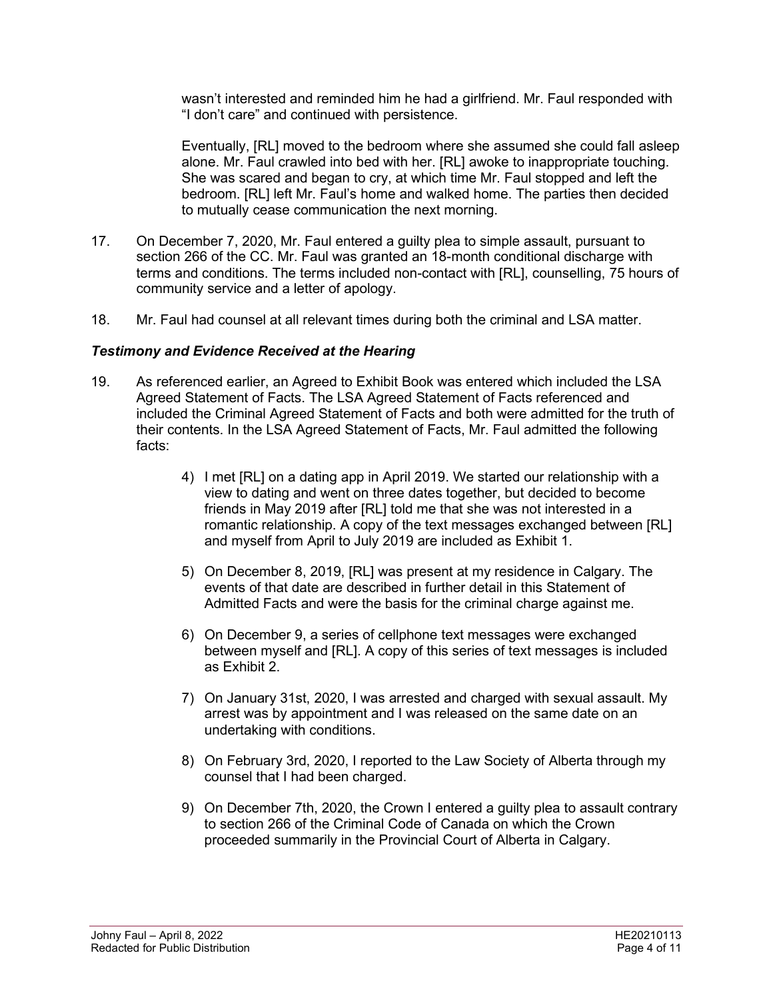wasn't interested and reminded him he had a girlfriend. Mr. Faul responded with "I don't care" and continued with persistence.

Eventually, [RL] moved to the bedroom where she assumed she could fall asleep alone. Mr. Faul crawled into bed with her. [RL] awoke to inappropriate touching. She was scared and began to cry, at which time Mr. Faul stopped and left the bedroom. [RL] left Mr. Faul's home and walked home. The parties then decided to mutually cease communication the next morning.

- 17. On December 7, 2020, Mr. Faul entered a guilty plea to simple assault, pursuant to section 266 of the CC. Mr. Faul was granted an 18-month conditional discharge with terms and conditions. The terms included non-contact with [RL], counselling, 75 hours of community service and a letter of apology.
- 18. Mr. Faul had counsel at all relevant times during both the criminal and LSA matter.

## *Testimony and Evidence Received at the Hearing*

- 19. As referenced earlier, an Agreed to Exhibit Book was entered which included the LSA Agreed Statement of Facts. The LSA Agreed Statement of Facts referenced and included the Criminal Agreed Statement of Facts and both were admitted for the truth of their contents. In the LSA Agreed Statement of Facts, Mr. Faul admitted the following facts:
	- 4) I met [RL] on a dating app in April 2019. We started our relationship with a view to dating and went on three dates together, but decided to become friends in May 2019 after [RL] told me that she was not interested in a romantic relationship. A copy of the text messages exchanged between [RL] and myself from April to July 2019 are included as Exhibit 1.
	- 5) On December 8, 2019, [RL] was present at my residence in Calgary. The events of that date are described in further detail in this Statement of Admitted Facts and were the basis for the criminal charge against me.
	- 6) On December 9, a series of cellphone text messages were exchanged between myself and [RL]. A copy of this series of text messages is included as Exhibit 2.
	- 7) On January 31st, 2020, I was arrested and charged with sexual assault. My arrest was by appointment and I was released on the same date on an undertaking with conditions.
	- 8) On February 3rd, 2020, I reported to the Law Society of Alberta through my counsel that I had been charged.
	- 9) On December 7th, 2020, the Crown I entered a guilty plea to assault contrary to section 266 of the Criminal Code of Canada on which the Crown proceeded summarily in the Provincial Court of Alberta in Calgary.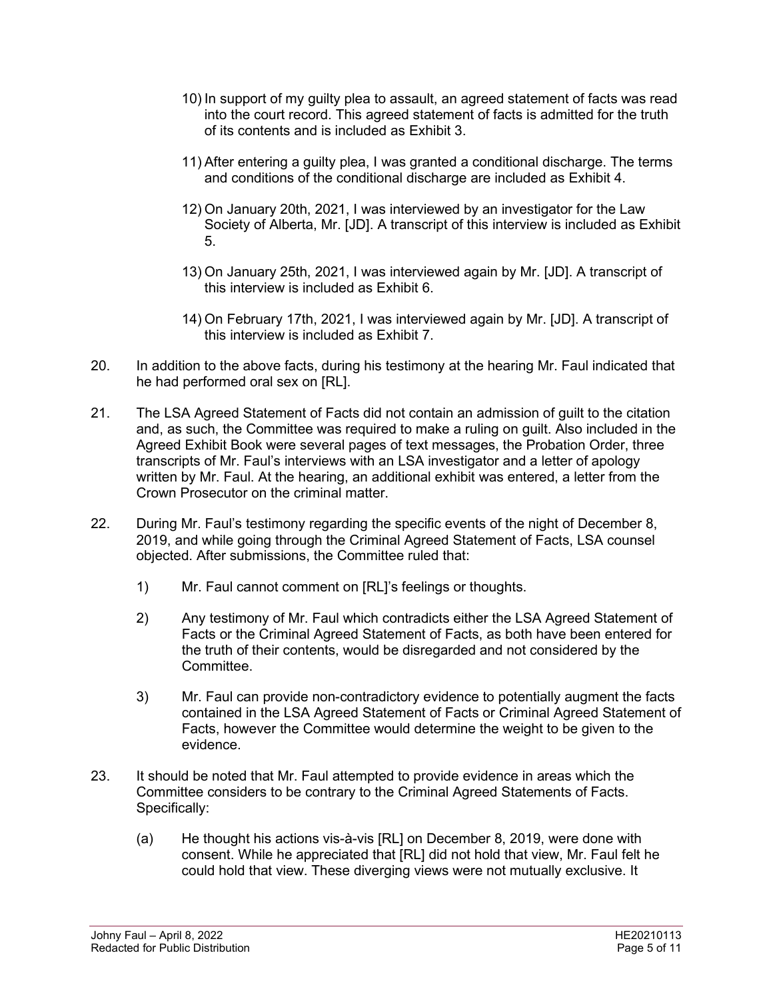- 10) In support of my guilty plea to assault, an agreed statement of facts was read into the court record. This agreed statement of facts is admitted for the truth of its contents and is included as Exhibit 3.
- 11) After entering a guilty plea, I was granted a conditional discharge. The terms and conditions of the conditional discharge are included as Exhibit 4.
- 12) On January 20th, 2021, I was interviewed by an investigator for the Law Society of Alberta, Mr. [JD]. A transcript of this interview is included as Exhibit 5.
- 13) On January 25th, 2021, I was interviewed again by Mr. [JD]. A transcript of this interview is included as Exhibit 6.
- 14) On February 17th, 2021, I was interviewed again by Mr. [JD]. A transcript of this interview is included as Exhibit 7.
- 20. In addition to the above facts, during his testimony at the hearing Mr. Faul indicated that he had performed oral sex on [RL].
- 21. The LSA Agreed Statement of Facts did not contain an admission of guilt to the citation and, as such, the Committee was required to make a ruling on guilt. Also included in the Agreed Exhibit Book were several pages of text messages, the Probation Order, three transcripts of Mr. Faul's interviews with an LSA investigator and a letter of apology written by Mr. Faul. At the hearing, an additional exhibit was entered, a letter from the Crown Prosecutor on the criminal matter.
- 22. During Mr. Faul's testimony regarding the specific events of the night of December 8, 2019, and while going through the Criminal Agreed Statement of Facts, LSA counsel objected. After submissions, the Committee ruled that:
	- 1) Mr. Faul cannot comment on [RL]'s feelings or thoughts.
	- 2) Any testimony of Mr. Faul which contradicts either the LSA Agreed Statement of Facts or the Criminal Agreed Statement of Facts, as both have been entered for the truth of their contents, would be disregarded and not considered by the Committee.
	- 3) Mr. Faul can provide non-contradictory evidence to potentially augment the facts contained in the LSA Agreed Statement of Facts or Criminal Agreed Statement of Facts, however the Committee would determine the weight to be given to the evidence.
- 23. It should be noted that Mr. Faul attempted to provide evidence in areas which the Committee considers to be contrary to the Criminal Agreed Statements of Facts. Specifically:
	- (a) He thought his actions vis-à-vis [RL] on December 8, 2019, were done with consent. While he appreciated that [RL] did not hold that view, Mr. Faul felt he could hold that view. These diverging views were not mutually exclusive. It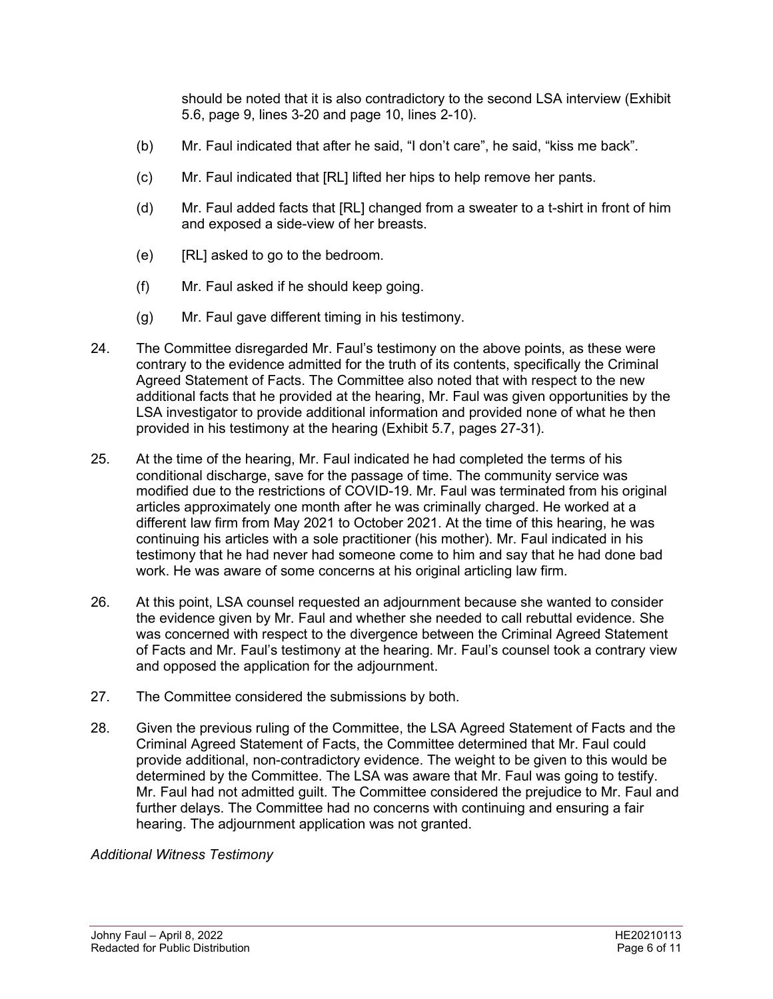should be noted that it is also contradictory to the second LSA interview (Exhibit 5.6, page 9, lines 3-20 and page 10, lines 2-10).

- (b) Mr. Faul indicated that after he said, "I don't care", he said, "kiss me back".
- (c) Mr. Faul indicated that [RL] lifted her hips to help remove her pants.
- (d) Mr. Faul added facts that [RL] changed from a sweater to a t-shirt in front of him and exposed a side-view of her breasts.
- (e) [RL] asked to go to the bedroom.
- (f) Mr. Faul asked if he should keep going.
- (g) Mr. Faul gave different timing in his testimony.
- 24. The Committee disregarded Mr. Faul's testimony on the above points, as these were contrary to the evidence admitted for the truth of its contents, specifically the Criminal Agreed Statement of Facts. The Committee also noted that with respect to the new additional facts that he provided at the hearing, Mr. Faul was given opportunities by the LSA investigator to provide additional information and provided none of what he then provided in his testimony at the hearing (Exhibit 5.7, pages 27-31).
- 25. At the time of the hearing, Mr. Faul indicated he had completed the terms of his conditional discharge, save for the passage of time. The community service was modified due to the restrictions of COVID-19. Mr. Faul was terminated from his original articles approximately one month after he was criminally charged. He worked at a different law firm from May 2021 to October 2021. At the time of this hearing, he was continuing his articles with a sole practitioner (his mother). Mr. Faul indicated in his testimony that he had never had someone come to him and say that he had done bad work. He was aware of some concerns at his original articling law firm.
- 26. At this point, LSA counsel requested an adjournment because she wanted to consider the evidence given by Mr. Faul and whether she needed to call rebuttal evidence. She was concerned with respect to the divergence between the Criminal Agreed Statement of Facts and Mr. Faul's testimony at the hearing. Mr. Faul's counsel took a contrary view and opposed the application for the adjournment.
- 27. The Committee considered the submissions by both.
- 28. Given the previous ruling of the Committee, the LSA Agreed Statement of Facts and the Criminal Agreed Statement of Facts, the Committee determined that Mr. Faul could provide additional, non-contradictory evidence. The weight to be given to this would be determined by the Committee. The LSA was aware that Mr. Faul was going to testify. Mr. Faul had not admitted guilt. The Committee considered the prejudice to Mr. Faul and further delays. The Committee had no concerns with continuing and ensuring a fair hearing. The adjournment application was not granted.

### *Additional Witness Testimony*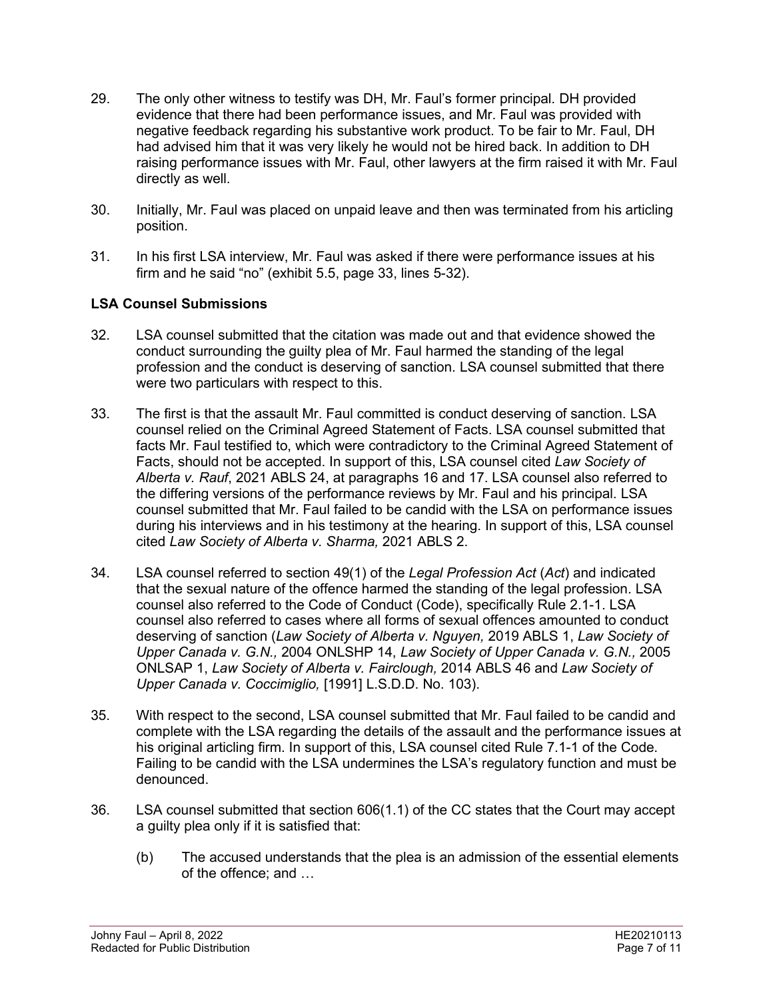- 29. The only other witness to testify was DH, Mr. Faul's former principal. DH provided evidence that there had been performance issues, and Mr. Faul was provided with negative feedback regarding his substantive work product. To be fair to Mr. Faul, DH had advised him that it was very likely he would not be hired back. In addition to DH raising performance issues with Mr. Faul, other lawyers at the firm raised it with Mr. Faul directly as well.
- 30. Initially, Mr. Faul was placed on unpaid leave and then was terminated from his articling position.
- 31. In his first LSA interview, Mr. Faul was asked if there were performance issues at his firm and he said "no" (exhibit 5.5, page 33, lines 5-32).

## **LSA Counsel Submissions**

- 32. LSA counsel submitted that the citation was made out and that evidence showed the conduct surrounding the guilty plea of Mr. Faul harmed the standing of the legal profession and the conduct is deserving of sanction. LSA counsel submitted that there were two particulars with respect to this.
- 33. The first is that the assault Mr. Faul committed is conduct deserving of sanction. LSA counsel relied on the Criminal Agreed Statement of Facts. LSA counsel submitted that facts Mr. Faul testified to, which were contradictory to the Criminal Agreed Statement of Facts, should not be accepted. In support of this, LSA counsel cited *Law Society of Alberta v. Rauf*, 2021 ABLS 24, at paragraphs 16 and 17. LSA counsel also referred to the differing versions of the performance reviews by Mr. Faul and his principal. LSA counsel submitted that Mr. Faul failed to be candid with the LSA on performance issues during his interviews and in his testimony at the hearing. In support of this, LSA counsel cited *Law Society of Alberta v. Sharma,* 2021 ABLS 2.
- 34. LSA counsel referred to section 49(1) of the *Legal Profession Act* (*Act*) and indicated that the sexual nature of the offence harmed the standing of the legal profession. LSA counsel also referred to the Code of Conduct (Code), specifically Rule 2.1-1. LSA counsel also referred to cases where all forms of sexual offences amounted to conduct deserving of sanction (*Law Society of Alberta v. Nguyen,* 2019 ABLS 1, *Law Society of Upper Canada v. G.N.,* 2004 ONLSHP 14, *Law Society of Upper Canada v. G.N.,* 2005 ONLSAP 1, *Law Society of Alberta v. Fairclough,* 2014 ABLS 46 and *Law Society of Upper Canada v. Coccimiglio,* [1991] L.S.D.D. No. 103).
- 35. With respect to the second, LSA counsel submitted that Mr. Faul failed to be candid and complete with the LSA regarding the details of the assault and the performance issues at his original articling firm. In support of this, LSA counsel cited Rule 7.1-1 of the Code. Failing to be candid with the LSA undermines the LSA's regulatory function and must be denounced.
- 36. LSA counsel submitted that section 606(1.1) of the CC states that the Court may accept a guilty plea only if it is satisfied that:
	- (b) The accused understands that the plea is an admission of the essential elements of the offence; and …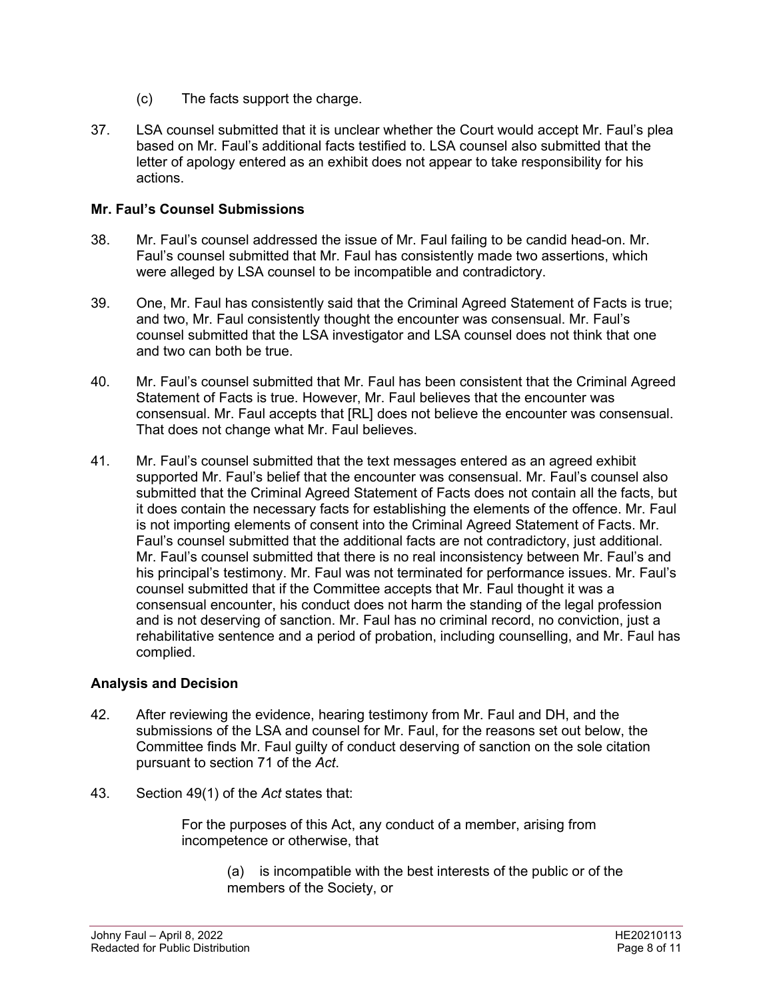- (c) The facts support the charge.
- 37. LSA counsel submitted that it is unclear whether the Court would accept Mr. Faul's plea based on Mr. Faul's additional facts testified to. LSA counsel also submitted that the letter of apology entered as an exhibit does not appear to take responsibility for his actions.

### **Mr. Faul's Counsel Submissions**

- 38. Mr. Faul's counsel addressed the issue of Mr. Faul failing to be candid head-on. Mr. Faul's counsel submitted that Mr. Faul has consistently made two assertions, which were alleged by LSA counsel to be incompatible and contradictory.
- 39. One, Mr. Faul has consistently said that the Criminal Agreed Statement of Facts is true; and two, Mr. Faul consistently thought the encounter was consensual. Mr. Faul's counsel submitted that the LSA investigator and LSA counsel does not think that one and two can both be true.
- 40. Mr. Faul's counsel submitted that Mr. Faul has been consistent that the Criminal Agreed Statement of Facts is true. However, Mr. Faul believes that the encounter was consensual. Mr. Faul accepts that [RL] does not believe the encounter was consensual. That does not change what Mr. Faul believes.
- 41. Mr. Faul's counsel submitted that the text messages entered as an agreed exhibit supported Mr. Faul's belief that the encounter was consensual. Mr. Faul's counsel also submitted that the Criminal Agreed Statement of Facts does not contain all the facts, but it does contain the necessary facts for establishing the elements of the offence. Mr. Faul is not importing elements of consent into the Criminal Agreed Statement of Facts. Mr. Faul's counsel submitted that the additional facts are not contradictory, just additional. Mr. Faul's counsel submitted that there is no real inconsistency between Mr. Faul's and his principal's testimony. Mr. Faul was not terminated for performance issues. Mr. Faul's counsel submitted that if the Committee accepts that Mr. Faul thought it was a consensual encounter, his conduct does not harm the standing of the legal profession and is not deserving of sanction. Mr. Faul has no criminal record, no conviction, just a rehabilitative sentence and a period of probation, including counselling, and Mr. Faul has complied.

# **Analysis and Decision**

- 42. After reviewing the evidence, hearing testimony from Mr. Faul and DH, and the submissions of the LSA and counsel for Mr. Faul, for the reasons set out below, the Committee finds Mr. Faul guilty of conduct deserving of sanction on the sole citation pursuant to section 71 of the *Act*.
- 43. Section 49(1) of the *Act* states that:

For the purposes of this Act, any conduct of a member, arising from incompetence or otherwise, that

> (a) is incompatible with the best interests of the public or of the members of the Society, or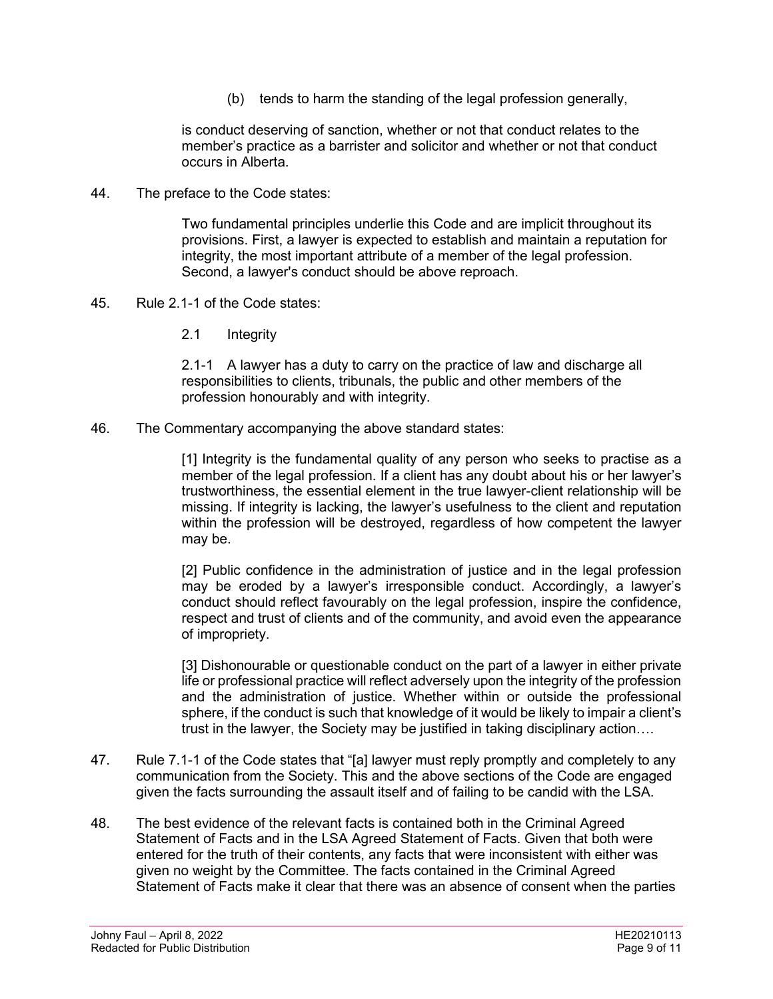(b) tends to harm the standing of the legal profession generally,

is conduct deserving of sanction, whether or not that conduct relates to the member's practice as a barrister and solicitor and whether or not that conduct occurs in Alberta.

44. The preface to the Code states:

Two fundamental principles underlie this Code and are implicit throughout its provisions. First, a lawyer is expected to establish and maintain a reputation for integrity, the most important attribute of a member of the legal profession. Second, a lawyer's conduct should be above reproach.

- 45. Rule 2.1-1 of the Code states:
	- 2.1 Integrity

2.1-1 A lawyer has a duty to carry on the practice of law and discharge all responsibilities to clients, tribunals, the public and other members of the profession honourably and with integrity.

46. The Commentary accompanying the above standard states:

[1] Integrity is the fundamental quality of any person who seeks to practise as a member of the legal profession. If a client has any doubt about his or her lawyer's trustworthiness, the essential element in the true lawyer-client relationship will be missing. If integrity is lacking, the lawyer's usefulness to the client and reputation within the profession will be destroyed, regardless of how competent the lawyer may be.

[2] Public confidence in the administration of justice and in the legal profession may be eroded by a lawyer's irresponsible conduct. Accordingly, a lawyer's conduct should reflect favourably on the legal profession, inspire the confidence, respect and trust of clients and of the community, and avoid even the appearance of impropriety.

[3] Dishonourable or questionable conduct on the part of a lawyer in either private life or professional practice will reflect adversely upon the integrity of the profession and the administration of justice. Whether within or outside the professional sphere, if the conduct is such that knowledge of it would be likely to impair a client's trust in the lawyer, the Society may be justified in taking disciplinary action….

- 47. Rule 7.1-1 of the Code states that "[a] lawyer must reply promptly and completely to any communication from the Society. This and the above sections of the Code are engaged given the facts surrounding the assault itself and of failing to be candid with the LSA.
- 48. The best evidence of the relevant facts is contained both in the Criminal Agreed Statement of Facts and in the LSA Agreed Statement of Facts. Given that both were entered for the truth of their contents, any facts that were inconsistent with either was given no weight by the Committee. The facts contained in the Criminal Agreed Statement of Facts make it clear that there was an absence of consent when the parties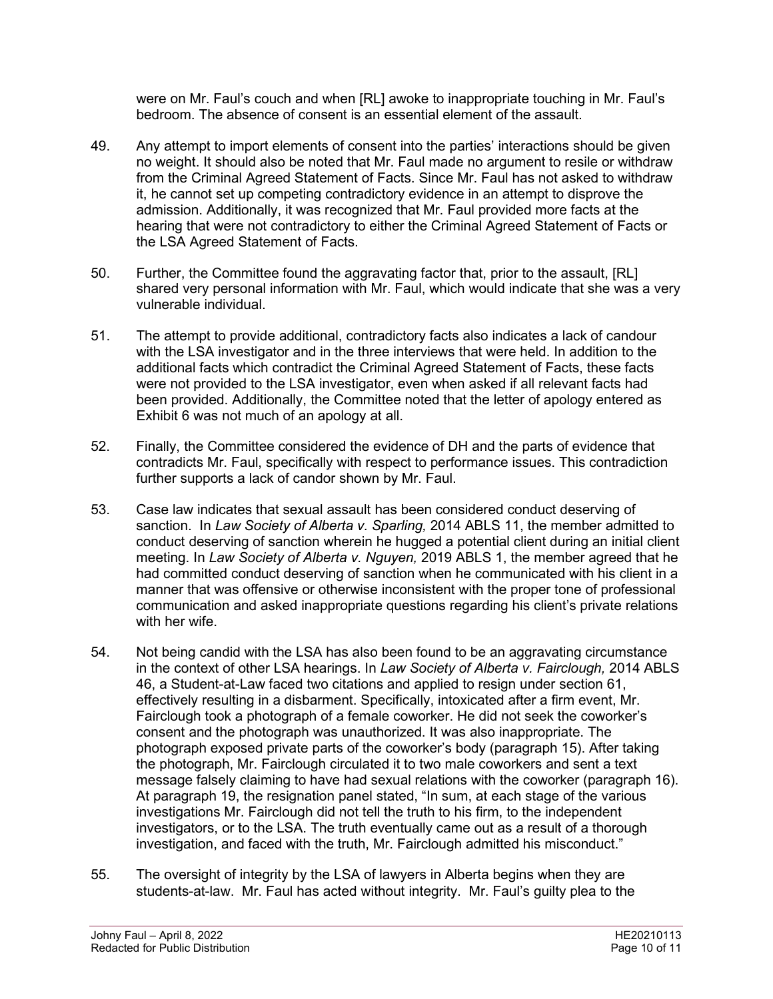were on Mr. Faul's couch and when [RL] awoke to inappropriate touching in Mr. Faul's bedroom. The absence of consent is an essential element of the assault.

- 49. Any attempt to import elements of consent into the parties' interactions should be given no weight. It should also be noted that Mr. Faul made no argument to resile or withdraw from the Criminal Agreed Statement of Facts. Since Mr. Faul has not asked to withdraw it, he cannot set up competing contradictory evidence in an attempt to disprove the admission. Additionally, it was recognized that Mr. Faul provided more facts at the hearing that were not contradictory to either the Criminal Agreed Statement of Facts or the LSA Agreed Statement of Facts.
- 50. Further, the Committee found the aggravating factor that, prior to the assault, [RL] shared very personal information with Mr. Faul, which would indicate that she was a very vulnerable individual.
- 51. The attempt to provide additional, contradictory facts also indicates a lack of candour with the LSA investigator and in the three interviews that were held. In addition to the additional facts which contradict the Criminal Agreed Statement of Facts, these facts were not provided to the LSA investigator, even when asked if all relevant facts had been provided. Additionally, the Committee noted that the letter of apology entered as Exhibit 6 was not much of an apology at all.
- 52. Finally, the Committee considered the evidence of DH and the parts of evidence that contradicts Mr. Faul, specifically with respect to performance issues. This contradiction further supports a lack of candor shown by Mr. Faul.
- 53. Case law indicates that sexual assault has been considered conduct deserving of sanction. In *Law Society of Alberta v. Sparling,* 2014 ABLS 11, the member admitted to conduct deserving of sanction wherein he hugged a potential client during an initial client meeting. In *Law Society of Alberta v. Nguyen,* 2019 ABLS 1, the member agreed that he had committed conduct deserving of sanction when he communicated with his client in a manner that was offensive or otherwise inconsistent with the proper tone of professional communication and asked inappropriate questions regarding his client's private relations with her wife.
- 54. Not being candid with the LSA has also been found to be an aggravating circumstance in the context of other LSA hearings. In *Law Society of Alberta v. Fairclough,* 2014 ABLS 46, a Student-at-Law faced two citations and applied to resign under section 61, effectively resulting in a disbarment. Specifically, intoxicated after a firm event, Mr. Fairclough took a photograph of a female coworker. He did not seek the coworker's consent and the photograph was unauthorized. It was also inappropriate. The photograph exposed private parts of the coworker's body (paragraph 15). After taking the photograph, Mr. Fairclough circulated it to two male coworkers and sent a text message falsely claiming to have had sexual relations with the coworker (paragraph 16). At paragraph 19, the resignation panel stated, "In sum, at each stage of the various investigations Mr. Fairclough did not tell the truth to his firm, to the independent investigators, or to the LSA. The truth eventually came out as a result of a thorough investigation, and faced with the truth, Mr. Fairclough admitted his misconduct."
- 55. The oversight of integrity by the LSA of lawyers in Alberta begins when they are students-at-law. Mr. Faul has acted without integrity. Mr. Faul's guilty plea to the